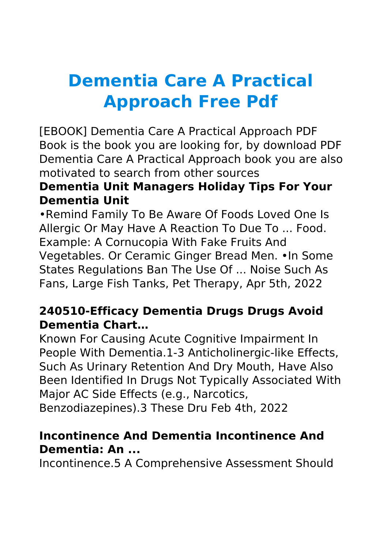# **Dementia Care A Practical Approach Free Pdf**

[EBOOK] Dementia Care A Practical Approach PDF Book is the book you are looking for, by download PDF Dementia Care A Practical Approach book you are also motivated to search from other sources

## **Dementia Unit Managers Holiday Tips For Your Dementia Unit**

•Remind Family To Be Aware Of Foods Loved One Is Allergic Or May Have A Reaction To Due To ... Food. Example: A Cornucopia With Fake Fruits And Vegetables. Or Ceramic Ginger Bread Men. •In Some States Regulations Ban The Use Of ... Noise Such As Fans, Large Fish Tanks, Pet Therapy, Apr 5th, 2022

## **240510-Efficacy Dementia Drugs Drugs Avoid Dementia Chart…**

Known For Causing Acute Cognitive Impairment In People With Dementia.1-3 Anticholinergic-like Effects, Such As Urinary Retention And Dry Mouth, Have Also Been Identified In Drugs Not Typically Associated With Major AC Side Effects (e.g., Narcotics, Benzodiazepines).3 These Dru Feb 4th, 2022

## **Incontinence And Dementia Incontinence And Dementia: An ...**

Incontinence.5 A Comprehensive Assessment Should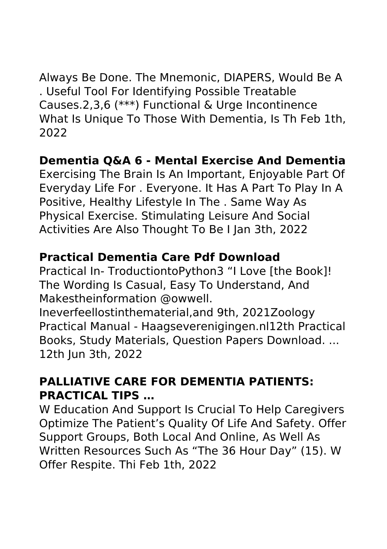Always Be Done. The Mnemonic, DIAPERS, Would Be A . Useful Tool For Identifying Possible Treatable Causes.2,3,6 (\*\*\*) Functional & Urge Incontinence What Is Unique To Those With Dementia, Is Th Feb 1th, 2022

#### **Dementia Q&A 6 - Mental Exercise And Dementia**

Exercising The Brain Is An Important, Enjoyable Part Of Everyday Life For . Everyone. It Has A Part To Play In A Positive, Healthy Lifestyle In The . Same Way As Physical Exercise. Stimulating Leisure And Social Activities Are Also Thought To Be I Jan 3th, 2022

#### **Practical Dementia Care Pdf Download**

Practical In- TroductiontoPython3 "I Love [the Book]! The Wording Is Casual, Easy To Understand, And Makestheinformation @owwell.

Ineverfeellostinthematerial,and 9th, 2021Zoology Practical Manual - Haagseverenigingen.nl12th Practical Books, Study Materials, Question Papers Download. ... 12th Jun 3th, 2022

#### **PALLIATIVE CARE FOR DEMENTIA PATIENTS: PRACTICAL TIPS …**

W Education And Support Is Crucial To Help Caregivers Optimize The Patient's Quality Of Life And Safety. Offer Support Groups, Both Local And Online, As Well As Written Resources Such As "The 36 Hour Day" (15). W Offer Respite. Thi Feb 1th, 2022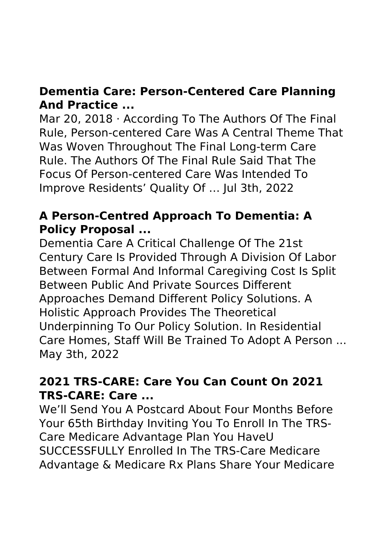## **Dementia Care: Person-Centered Care Planning And Practice ...**

Mar 20, 2018 · According To The Authors Of The Final Rule, Person-centered Care Was A Central Theme That Was Woven Throughout The Final Long-term Care Rule. The Authors Of The Final Rule Said That The Focus Of Person-centered Care Was Intended To Improve Residents' Quality Of … Jul 3th, 2022

## **A Person-Centred Approach To Dementia: A Policy Proposal ...**

Dementia Care A Critical Challenge Of The 21st Century Care Is Provided Through A Division Of Labor Between Formal And Informal Caregiving Cost Is Split Between Public And Private Sources Different Approaches Demand Different Policy Solutions. A Holistic Approach Provides The Theoretical Underpinning To Our Policy Solution. In Residential Care Homes, Staff Will Be Trained To Adopt A Person ... May 3th, 2022

## **2021 TRS-CARE: Care You Can Count On 2021 TRS-CARE: Care ...**

We'll Send You A Postcard About Four Months Before Your 65th Birthday Inviting You To Enroll In The TRS-Care Medicare Advantage Plan You HaveU SUCCESSFULLY Enrolled In The TRS-Care Medicare Advantage & Medicare Rx Plans Share Your Medicare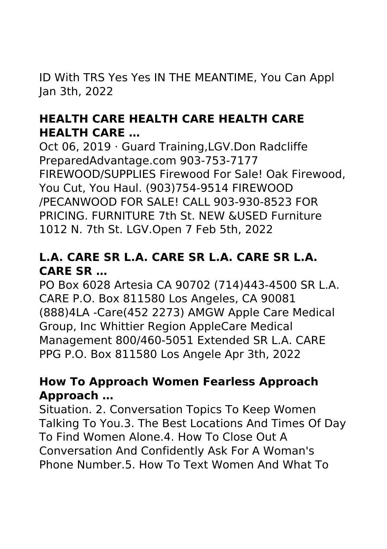ID With TRS Yes Yes IN THE MEANTIME, You Can Appl Jan 3th, 2022

## **HEALTH CARE HEALTH CARE HEALTH CARE HEALTH CARE …**

Oct 06, 2019 · Guard Training,LGV.Don Radcliffe PreparedAdvantage.com 903-753-7177 FIREWOOD/SUPPLIES Firewood For Sale! Oak Firewood, You Cut, You Haul. (903)754-9514 FIREWOOD /PECANWOOD FOR SALE! CALL 903-930-8523 FOR PRICING. FURNITURE 7th St. NEW &USED Furniture 1012 N. 7th St. LGV.Open 7 Feb 5th, 2022

## **L.A. CARE SR L.A. CARE SR L.A. CARE SR L.A. CARE SR …**

PO Box 6028 Artesia CA 90702 (714)443-4500 SR L.A. CARE P.O. Box 811580 Los Angeles, CA 90081 (888)4LA -Care(452 2273) AMGW Apple Care Medical Group, Inc Whittier Region AppleCare Medical Management 800/460-5051 Extended SR L.A. CARE PPG P.O. Box 811580 Los Angele Apr 3th, 2022

#### **How To Approach Women Fearless Approach Approach …**

Situation. 2. Conversation Topics To Keep Women Talking To You.3. The Best Locations And Times Of Day To Find Women Alone.4. How To Close Out A Conversation And Confidently Ask For A Woman's Phone Number 5. How To Text Women And What To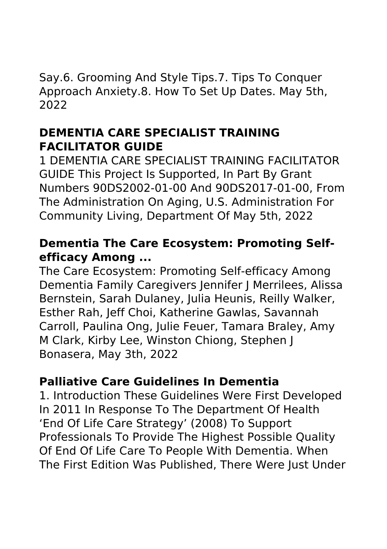Say.6. Grooming And Style Tips.7. Tips To Conquer Approach Anxiety.8. How To Set Up Dates. May 5th, 2022

## **DEMENTIA CARE SPECIALIST TRAINING FACILITATOR GUIDE**

1 DEMENTIA CARE SPECIALIST TRAINING FACILITATOR GUIDE This Project Is Supported, In Part By Grant Numbers 90DS2002-01-00 And 90DS2017-01-00, From The Administration On Aging, U.S. Administration For Community Living, Department Of May 5th, 2022

## **Dementia The Care Ecosystem: Promoting Selfefficacy Among ...**

The Care Ecosystem: Promoting Self-efficacy Among Dementia Family Caregivers Jennifer J Merrilees, Alissa Bernstein, Sarah Dulaney, Julia Heunis, Reilly Walker, Esther Rah, Jeff Choi, Katherine Gawlas, Savannah Carroll, Paulina Ong, Julie Feuer, Tamara Braley, Amy M Clark, Kirby Lee, Winston Chiong, Stephen J Bonasera, May 3th, 2022

## **Palliative Care Guidelines In Dementia**

1. Introduction These Guidelines Were First Developed In 2011 In Response To The Department Of Health 'End Of Life Care Strategy' (2008) To Support Professionals To Provide The Highest Possible Quality Of End Of Life Care To People With Dementia. When The First Edition Was Published, There Were Just Under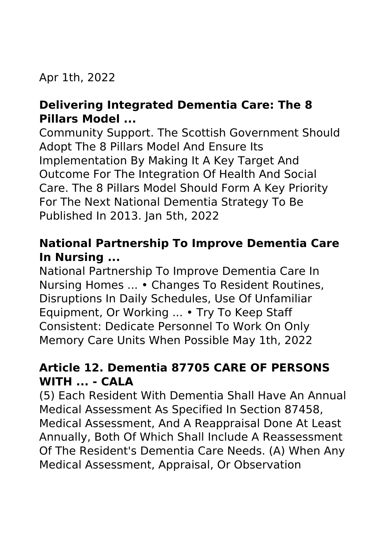Apr 1th, 2022

## **Delivering Integrated Dementia Care: The 8 Pillars Model ...**

Community Support. The Scottish Government Should Adopt The 8 Pillars Model And Ensure Its Implementation By Making It A Key Target And Outcome For The Integration Of Health And Social Care. The 8 Pillars Model Should Form A Key Priority For The Next National Dementia Strategy To Be Published In 2013. Jan 5th, 2022

## **National Partnership To Improve Dementia Care In Nursing ...**

National Partnership To Improve Dementia Care In Nursing Homes ... • Changes To Resident Routines, Disruptions In Daily Schedules, Use Of Unfamiliar Equipment, Or Working ... • Try To Keep Staff Consistent: Dedicate Personnel To Work On Only Memory Care Units When Possible May 1th, 2022

## **Article 12. Dementia 87705 CARE OF PERSONS WITH ... - CALA**

(5) Each Resident With Dementia Shall Have An Annual Medical Assessment As Specified In Section 87458, Medical Assessment, And A Reappraisal Done At Least Annually, Both Of Which Shall Include A Reassessment Of The Resident's Dementia Care Needs. (A) When Any Medical Assessment, Appraisal, Or Observation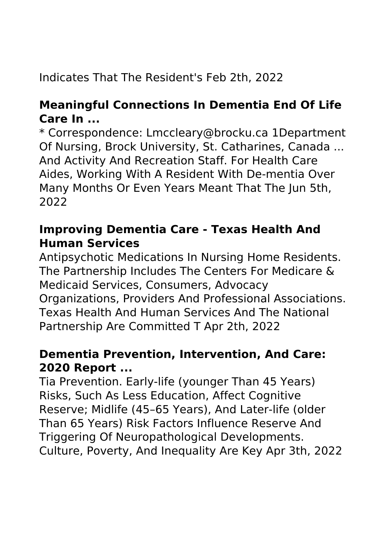## Indicates That The Resident's Feb 2th, 2022

## **Meaningful Connections In Dementia End Of Life Care In ...**

\* Correspondence: Lmccleary@brocku.ca 1Department Of Nursing, Brock University, St. Catharines, Canada ... And Activity And Recreation Staff. For Health Care Aides, Working With A Resident With De-mentia Over Many Months Or Even Years Meant That The Jun 5th, 2022

## **Improving Dementia Care - Texas Health And Human Services**

Antipsychotic Medications In Nursing Home Residents. The Partnership Includes The Centers For Medicare & Medicaid Services, Consumers, Advocacy Organizations, Providers And Professional Associations. Texas Health And Human Services And The National Partnership Are Committed T Apr 2th, 2022

#### **Dementia Prevention, Intervention, And Care: 2020 Report ...**

Tia Prevention. Early-life (younger Than 45 Years) Risks, Such As Less Education, Affect Cognitive Reserve; Midlife (45–65 Years), And Later-life (older Than 65 Years) Risk Factors Influence Reserve And Triggering Of Neuropathological Developments. Culture, Poverty, And Inequality Are Key Apr 3th, 2022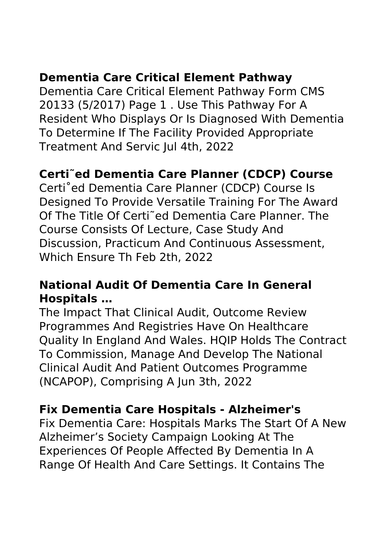## **Dementia Care Critical Element Pathway**

Dementia Care Critical Element Pathway Form CMS 20133 (5/2017) Page 1 . Use This Pathway For A Resident Who Displays Or Is Diagnosed With Dementia To Determine If The Facility Provided Appropriate Treatment And Servic Jul 4th, 2022

## **Certi˜ed Dementia Care Planner (CDCP) Course**

Certi˚ed Dementia Care Planner (CDCP) Course Is Designed To Provide Versatile Training For The Award Of The Title Of Certi˜ed Dementia Care Planner. The Course Consists Of Lecture, Case Study And Discussion, Practicum And Continuous Assessment, Which Ensure Th Feb 2th, 2022

#### **National Audit Of Dementia Care In General Hospitals …**

The Impact That Clinical Audit, Outcome Review Programmes And Registries Have On Healthcare Quality In England And Wales. HQIP Holds The Contract To Commission, Manage And Develop The National Clinical Audit And Patient Outcomes Programme (NCAPOP), Comprising A Jun 3th, 2022

## **Fix Dementia Care Hospitals - Alzheimer's**

Fix Dementia Care: Hospitals Marks The Start Of A New Alzheimer's Society Campaign Looking At The Experiences Of People Affected By Dementia In A Range Of Health And Care Settings. It Contains The